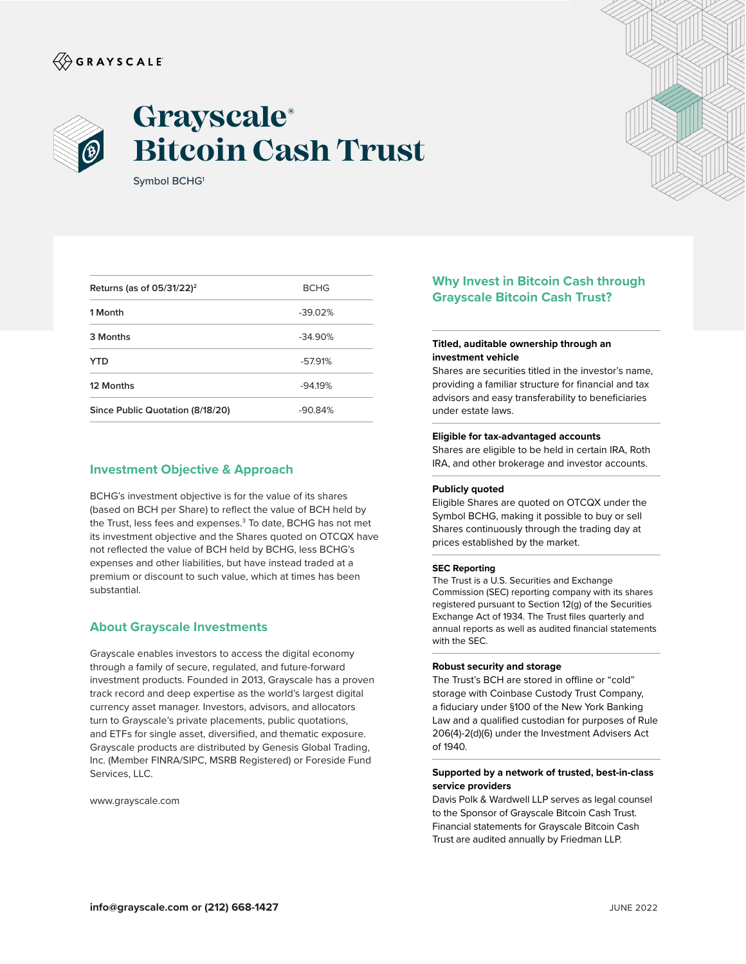# $\langle\!\!\!\langle\hat{\mathbin{\hspace{1.5pt}\circ}}$  G R A Y S C A L E



# **Grayscale® Bitcoin Cash Trust**

Symbol BCHG<sup>1</sup>

| Returns (as of $05/31/22$ ) <sup>2</sup> | <b>BCHG</b> |
|------------------------------------------|-------------|
| 1 Month                                  | $-39.02%$   |
| 3 Months                                 | $-34.90%$   |
| <b>YTD</b>                               | $-57.91%$   |
| 12 Months                                | $-94.19%$   |
| Since Public Quotation (8/18/20)         | $-90.84%$   |

## **Investment Objective & Approach**

BCHG's investment objective is for the value of its shares (based on BCH per Share) to reflect the value of BCH held by the Trust, less fees and expenses.<sup>3</sup> To date, BCHG has not met its investment objective and the Shares quoted on OTCQX have not reflected the value of BCH held by BCHG, less BCHG's expenses and other liabilities, but have instead traded at a premium or discount to such value, which at times has been substantial.

### **About Grayscale Investments**

Grayscale enables investors to access the digital economy through a family of secure, regulated, and future-forward investment products. Founded in 2013, Grayscale has a proven track record and deep expertise as the world's largest digital currency asset manager. Investors, advisors, and allocators turn to Grayscale's private placements, public quotations, and ETFs for single asset, diversified, and thematic exposure. Grayscale products are distributed by Genesis Global Trading, Inc. (Member FINRA/SIPC, MSRB Registered) or Foreside Fund Services, LLC.

www.grayscale.com

# **Why Invest in Bitcoin Cash through Grayscale Bitcoin Cash Trust?**

#### **Titled, auditable ownership through an investment vehicle**

Shares are securities titled in the investor's name, providing a familiar structure for financial and tax advisors and easy transferability to beneficiaries under estate laws.

#### **Eligible for tax-advantaged accounts**

Shares are eligible to be held in certain IRA, Roth IRA, and other brokerage and investor accounts.

#### **Publicly quoted**

Eligible Shares are quoted on OTCQX under the Symbol BCHG, making it possible to buy or sell Shares continuously through the trading day at prices established by the market.

#### **SEC Reporting**

The Trust is a U.S. Securities and Exchange Commission (SEC) reporting company with its shares registered pursuant to Section 12(g) of the Securities Exchange Act of 1934. The Trust files quarterly and annual reports as well as audited financial statements with the SEC.

#### **Robust security and storage**

The Trust's BCH are stored in offline or "cold" storage with Coinbase Custody Trust Company, a fiduciary under §100 of the New York Banking Law and a qualified custodian for purposes of Rule 206(4)-2(d)(6) under the Investment Advisers Act of 1940.

#### **Supported by a network of trusted, best-in-class service providers**

Davis Polk & Wardwell LLP serves as legal counsel to the Sponsor of Grayscale Bitcoin Cash Trust. Financial statements for Grayscale Bitcoin Cash Trust are audited annually by Friedman LLP.